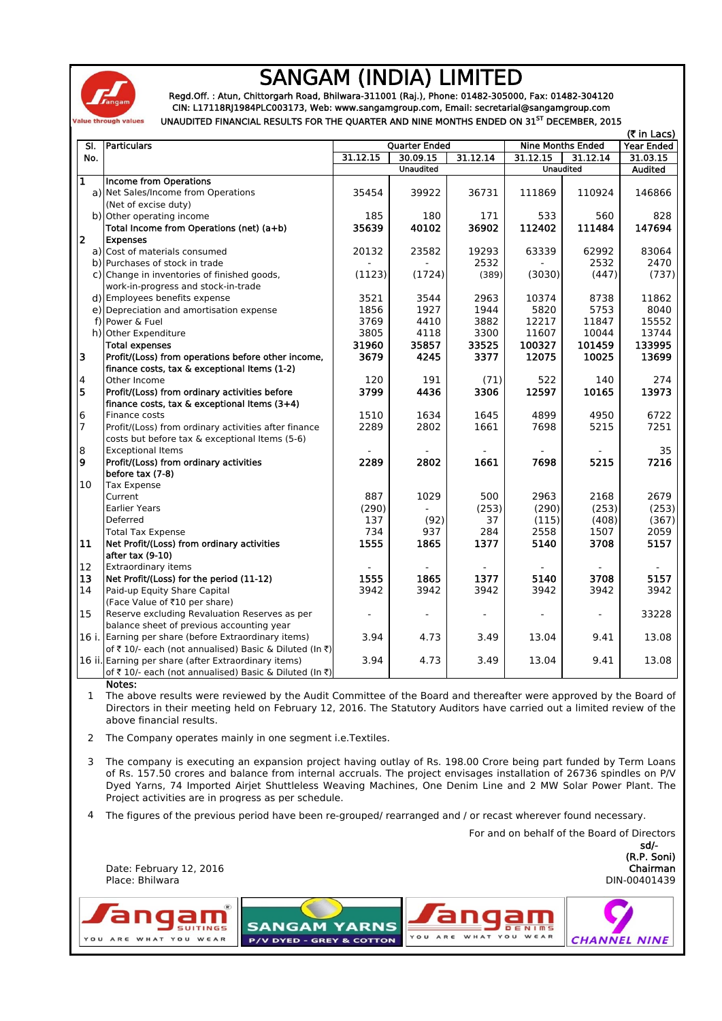

## SANGAM (INDIA) LIMITED

Regd.Off. : Atun, Chittorgarh Road, Bhilwara-311001 (Raj.), Phone: 01482-305000, Fax: 01482-304120 CIN: L17118RJ1984PLC003173, Web: www.sangamgroup.com, Email: secretarial@sangamgroup.com UNAUDITED FINANCIAL RESULTS FOR THE QUARTER AND NINE MONTHS ENDED ON 31<sup>ST</sup> DECEMBER, 2015

| (₹ in Lacs)    |                                                        |                      |                                      |          |                          |          |                   |
|----------------|--------------------------------------------------------|----------------------|--------------------------------------|----------|--------------------------|----------|-------------------|
| SI.            | <b>Particulars</b>                                     | <b>Quarter Ended</b> |                                      |          | <b>Nine Months Ended</b> |          | <b>Year Ended</b> |
| No.            |                                                        | 31.12.15             | 30.09.15                             | 31.12.14 | 31.12.15                 | 31.12.14 | 31.03.15          |
|                |                                                        |                      | <b>Unaudited</b><br><b>Unaudited</b> |          |                          | Audited  |                   |
| 1              | <b>Income from Operations</b>                          |                      |                                      |          |                          |          |                   |
|                | a) Net Sales/Income from Operations                    | 35454                | 39922                                | 36731    | 111869                   | 110924   | 146866            |
|                | (Net of excise duty)                                   |                      |                                      |          |                          |          |                   |
|                | b) Other operating income                              | 185                  | 180                                  | 171      | 533                      | 560      | 828               |
|                | Total Income from Operations (net) (a+b)               | 35639                | 40102                                | 36902    | 112402                   | 111484   | 147694            |
| l2             | <b>Expenses</b>                                        |                      |                                      |          |                          |          |                   |
|                | a) Cost of materials consumed                          | 20132                | 23582                                | 19293    | 63339                    | 62992    | 83064             |
|                | b) Purchases of stock in trade                         |                      |                                      | 2532     |                          | 2532     | 2470              |
|                | c) Change in inventories of finished goods,            | (1123)               | (1724)                               | (389)    | (3030)                   | (447)    | (737)             |
|                | work-in-progress and stock-in-trade                    |                      |                                      |          |                          |          |                   |
|                | d) Employees benefits expense                          | 3521                 | 3544                                 | 2963     | 10374                    | 8738     | 11862             |
|                | e) Depreciation and amortisation expense               | 1856                 | 1927                                 | 1944     | 5820                     | 5753     | 8040              |
|                | f) Power & Fuel                                        | 3769                 | 4410                                 | 3882     | 12217                    | 11847    | 15552             |
|                | h) Other Expenditure                                   | 3805                 | 4118                                 | 3300     | 11607                    | 10044    | 13744             |
|                | <b>Total expenses</b>                                  | 31960                | 35857                                | 33525    | 100327                   | 101459   | 133995            |
| 3              | Profit/(Loss) from operations before other income,     | 3679                 | 4245                                 | 3377     | 12075                    | 10025    | 13699             |
|                | finance costs, tax & exceptional Items (1-2)           |                      |                                      |          |                          |          |                   |
| 4              | Other Income                                           | 120                  | 191                                  | (71)     | 522                      | 140      | 274               |
| 5              | Profit/(Loss) from ordinary activities before          | 3799                 | 4436                                 | 3306     | 12597                    | 10165    | 13973             |
|                | finance costs, tax & exceptional Items (3+4)           |                      |                                      |          |                          |          |                   |
| 6              | Finance costs                                          | 1510                 | 1634                                 | 1645     | 4899                     | 4950     | 6722              |
| $\overline{7}$ | Profit/(Loss) from ordinary activities after finance   | 2289                 | 2802                                 | 1661     | 7698                     | 5215     | 7251              |
|                | costs but before tax & exceptional Items (5-6)         |                      |                                      |          |                          |          |                   |
| 8              | <b>Exceptional Items</b>                               |                      |                                      |          |                          |          | 35                |
| 9              | Profit/(Loss) from ordinary activities                 | 2289                 | 2802                                 | 1661     | 7698                     | 5215     | 7216              |
|                | before tax (7-8)                                       |                      |                                      |          |                          |          |                   |
| 10             | <b>Tax Expense</b>                                     |                      |                                      |          |                          |          |                   |
|                | Current                                                | 887                  | 1029                                 | 500      | 2963                     | 2168     | 2679              |
|                | <b>Earlier Years</b>                                   | (290)                |                                      | (253)    | (290)                    | (253)    | (253)             |
|                | Deferred                                               | 137                  | (92)                                 | 37       | (115)                    | (408)    | (367)             |
|                | <b>Total Tax Expense</b>                               | 734                  | 937                                  | 284      | 2558                     | 1507     | 2059              |
| 11             | Net Profit/(Loss) from ordinary activities             | 1555                 | 1865                                 | 1377     | 5140                     | 3708     | 5157              |
|                | after tax (9-10)                                       |                      |                                      |          |                          |          |                   |
| 12             | Extraordinary items                                    |                      |                                      |          |                          |          |                   |
| 13             | Net Profit/(Loss) for the period (11-12)               | 1555                 | 1865                                 | 1377     | 5140                     | 3708     | 5157              |
| 14             | Paid-up Equity Share Capital                           | 3942                 | 3942                                 | 3942     | 3942                     | 3942     | 3942              |
|                | (Face Value of ₹10 per share)                          |                      |                                      |          |                          |          |                   |
| 15             | Reserve excluding Revaluation Reserves as per          |                      |                                      |          |                          |          | 33228             |
|                | balance sheet of previous accounting year              |                      |                                      |          |                          |          |                   |
|                | 16 i. Earning per share (before Extraordinary items)   | 3.94                 | 4.73                                 | 3.49     | 13.04                    | 9.41     | 13.08             |
|                | of ₹ 10/- each (not annualised) Basic & Diluted (In ₹) |                      |                                      |          |                          |          |                   |
|                | 16 ii. Earning per share (after Extraordinary items)   | 3.94                 | 4.73                                 | 3.49     | 13.04                    | 9.41     | 13.08             |
|                | of ₹ 10/- each (not annualised) Basic & Diluted (In ₹) |                      |                                      |          |                          |          |                   |
|                |                                                        |                      |                                      |          |                          |          |                   |

Notes:

Date: February 12, 2016

Place: Bhilwara

1 The above results were reviewed by the Audit Committee of the Board and thereafter were approved by the Board of Directors in their meeting held on February 12, 2016. The Statutory Auditors have carried out a limited review of the above financial results.

2 The Company operates mainly in one segment i.e.Textiles.

3 The company is executing an expansion project having outlay of Rs. 198.00 Crore being part funded by Term Loans of Rs. 157.50 crores and balance from internal accruals. The project envisages installation of 26736 spindles on P/V Dyed Yarns, 74 Imported Airjet Shuttleless Weaving Machines, One Denim Line and 2 MW Solar Power Plant. The Project activities are in progress as per schedule.

4 The figures of the previous period have been re-grouped/ rearranged and / or recast wherever found necessary.

sd/- DIN-00401439 (R.P. Soni) Chairman

For and on behalf of the Board of Directors